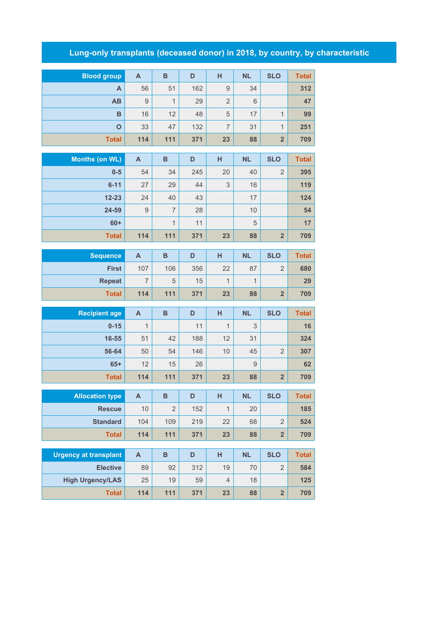## **Lung-only transplants (deceased donor) in 2018, by country, by characteristic**

| <b>Blood group</b>           | $\mathsf{A}$              | $\, {\bf B}$   | D         | н              | <b>NL</b>    | <b>SLO</b>              | <b>Total</b> |
|------------------------------|---------------------------|----------------|-----------|----------------|--------------|-------------------------|--------------|
| A                            | 56                        | 51             | 162       | 9              | 34           |                         | 312          |
| AB                           | 9                         | $\mathbf{1}$   | 29        | $\overline{2}$ | 6            |                         | 47           |
| B                            | 16                        | 12             | 48        | 5              | 17           | $\mathbf{1}$            | 99           |
| $\mathbf{o}$                 | 33                        | 47             | 132       | $\overline{7}$ | 31           | 1                       | 251          |
| <b>Total</b>                 | 114                       | 111            | 371       | 23             | 88           | $\overline{\mathbf{2}}$ | 709          |
|                              |                           |                |           |                |              |                         |              |
| <b>Months (on WL)</b>        | $\mathsf{A}$              | B              | D         | H              | <b>NL</b>    | <b>SLO</b>              | <b>Total</b> |
| $0-5$                        | 54                        | 34             | 245       | 20             | 40           | $\overline{2}$          | 395          |
| $6 - 11$                     | 27                        | 29             | 44        | 3              | 16           |                         | 119          |
| $12 - 23$                    | 24                        | 40             | 43        |                | 17           |                         | 124          |
| 24-59                        | $\mathsf{9}$              | $\overline{7}$ | 28        |                | 10           |                         | 54           |
| $60+$                        |                           | $\mathbf{1}$   | 11        |                | 5            |                         | 17           |
| <b>Total</b>                 | 114                       | $111$          | 371       | 23             | 88           | $\overline{2}$          | 709          |
|                              | $\mathsf{A}$              | $\, {\bf B}$   | D         | H              | <b>NL</b>    | <b>SLO</b>              | <b>Total</b> |
| <b>Sequence</b>              |                           |                |           |                |              |                         |              |
| <b>First</b>                 | 107                       | 106            | 356       | 22             | 87           | $\overline{2}$          | 680          |
| <b>Repeat</b>                | $\overline{7}$            | 5              | 15        | $\mathbf{1}$   | $\mathbf{1}$ |                         | 29           |
| <b>Total</b>                 | 114                       | $111$          | 371       | 23             | 88           | $\overline{\mathbf{2}}$ | 709          |
| <b>Recipient age</b>         | $\mathsf{A}$              | $\, {\bf B}$   | D         | H              | <b>NL</b>    | <b>SLO</b>              | <b>Total</b> |
| $0 - 15$                     | $\mathbf{1}$              |                | 11        | $\mathbf{1}$   | 3            |                         | 16           |
| 16-55                        | 51                        | 42             | 188       | 12             | 31           |                         | 324          |
| 56-64                        | 50                        | 54             | 146       | 10             | 45           | $\overline{2}$          | 307          |
| $65+$                        | 12                        | 15             | 26        |                | 9            |                         | 62           |
| <b>Total</b>                 | 114                       | 111            | 371       | 23             | 88           | $\overline{\mathbf{2}}$ | 709          |
|                              |                           |                |           |                |              |                         |              |
| <b>Allocation type</b>       | $\boldsymbol{\mathsf{A}}$ | B              | D         | H              | <b>NL</b>    | <b>SLO</b>              | <b>Total</b> |
| <b>Rescue</b>                | 10                        | $\overline{2}$ | 152       | $\mathbf{1}$   | 20           |                         | 185          |
| <b>Standard</b>              | 104                       | 109            | 219       | 22             | 68           | $\overline{2}$          | 524          |
| <b>Total</b>                 | 114                       | 111            | 371       | 23             | 88           | $\overline{2}$          | 709          |
| <b>Urgency at transplant</b> | $\mathsf{A}$              | $\, {\bf B}$   | D         | H              | <b>NL</b>    | <b>SLO</b>              | <b>Total</b> |
| <b>Elective</b>              | 89                        | 92             | 312       | 19             | 70           | $\overline{2}$          | 584          |
| <b>High Urgency/LAS</b>      | 25                        |                |           | $\overline{4}$ |              |                         |              |
| <b>Total</b>                 | 114                       | 19<br>111      | 59<br>371 | 23             | 18<br>88     | $\overline{\mathbf{2}}$ | 125<br>709   |
|                              |                           |                |           |                |              |                         |              |